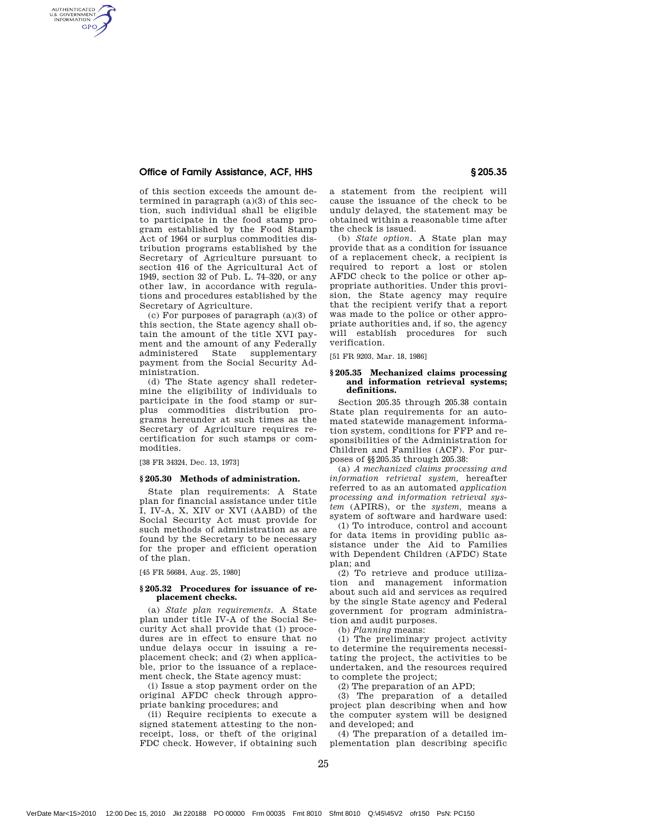# Office of Family Assistance, ACF, HHS § 205.35

AUTHENTICATED<br>U.S. GOVERNMENT<br>INFORMATION **GPO** 

> of this section exceeds the amount determined in paragraph  $(a)(3)$  of this section, such individual shall be eligible to participate in the food stamp program established by the Food Stamp Act of 1964 or surplus commodities distribution programs established by the Secretary of Agriculture pursuant to section 416 of the Agricultural Act of 1949, section 32 of Pub. L. 74–320, or any other law, in accordance with regulations and procedures established by the Secretary of Agriculture.

> (c) For purposes of paragraph (a)(3) of this section, the State agency shall obtain the amount of the title XVI payment and the amount of any Federally<br>administered State supplementary supplementary payment from the Social Security Administration.

> (d) The State agency shall redetermine the eligibility of individuals to participate in the food stamp or surplus commodities distribution programs hereunder at such times as the Secretary of Agriculture requires recertification for such stamps or commodities.

[38 FR 34324, Dec. 13, 1973]

### **§ 205.30 Methods of administration.**

State plan requirements: A State plan for financial assistance under title I, IV-A, X, XIV or XVI (AABD) of the Social Security Act must provide for such methods of administration as are found by the Secretary to be necessary for the proper and efficient operation of the plan.

[45 FR 56684, Aug. 25, 1980]

## **§ 205.32 Procedures for issuance of replacement checks.**

(a) *State plan requirements.* A State plan under title IV-A of the Social Security Act shall provide that (1) procedures are in effect to ensure that no undue delays occur in issuing a replacement check; and (2) when applicable, prior to the issuance of a replacement check, the State agency must:

(i) Issue a stop payment order on the original AFDC check through appropriate banking procedures; and

(ii) Require recipients to execute a signed statement attesting to the nonreceipt, loss, or theft of the original FDC check. However, if obtaining such a statement from the recipient will cause the issuance of the check to be unduly delayed, the statement may be obtained within a reasonable time after the check is issued.

(b) *State option.* A State plan may provide that as a condition for issuance of a replacement check, a recipient is required to report a lost or stolen AFDC check to the police or other appropriate authorities. Under this provision, the State agency may require that the recipient verify that a report was made to the police or other appropriate authorities and, if so, the agency will establish procedures for such verification.

[51 FR 9203, Mar. 18, 1986]

## **§ 205.35 Mechanized claims processing and information retrieval systems; definitions.**

Section 205.35 through 205.38 contain State plan requirements for an automated statewide management information system, conditions for FFP and responsibilities of the Administration for Children and Families (ACF). For purposes of §§205.35 through 205.38:

(a) *A mechanized claims processing and information retrieval system,* hereafter referred to as an automated *application processing and information retrieval system* (APIRS), or the *system,* means a system of software and hardware used:

(1) To introduce, control and account for data items in providing public assistance under the Aid to Families with Dependent Children (AFDC) State plan; and

(2) To retrieve and produce utilization and management information about such aid and services as required by the single State agency and Federal government for program administration and audit purposes.

(b) *Planning* means:

(1) The preliminary project activity to determine the requirements necessitating the project, the activities to be undertaken, and the resources required to complete the project;

(2) The preparation of an APD;

(3) The preparation of a detailed project plan describing when and how the computer system will be designed and developed; and

(4) The preparation of a detailed implementation plan describing specific